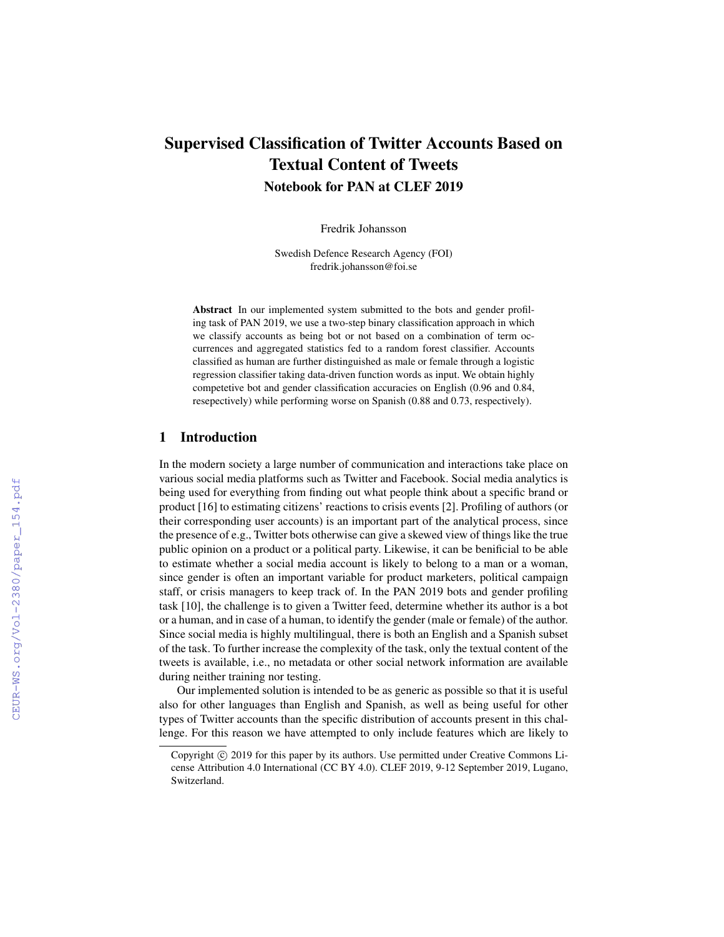# Supervised Classification of Twitter Accounts Based on Textual Content of Tweets Notebook for PAN at CLEF 2019

Fredrik Johansson

Swedish Defence Research Agency (FOI) fredrik.johansson@foi.se

Abstract In our implemented system submitted to the bots and gender profiling task of PAN 2019, we use a two-step binary classification approach in which we classify accounts as being bot or not based on a combination of term occurrences and aggregated statistics fed to a random forest classifier. Accounts classified as human are further distinguished as male or female through a logistic regression classifier taking data-driven function words as input. We obtain highly competetive bot and gender classification accuracies on English (0.96 and 0.84, resepectively) while performing worse on Spanish (0.88 and 0.73, respectively).

# 1 Introduction

In the modern society a large number of communication and interactions take place on various social media platforms such as Twitter and Facebook. Social media analytics is being used for everything from finding out what people think about a specific brand or product [16] to estimating citizens' reactions to crisis events [2]. Profiling of authors (or their corresponding user accounts) is an important part of the analytical process, since the presence of e.g., Twitter bots otherwise can give a skewed view of things like the true public opinion on a product or a political party. Likewise, it can be benificial to be able to estimate whether a social media account is likely to belong to a man or a woman, since gender is often an important variable for product marketers, political campaign staff, or crisis managers to keep track of. In the PAN 2019 bots and gender profiling task [10], the challenge is to given a Twitter feed, determine whether its author is a bot or a human, and in case of a human, to identify the gender (male or female) of the author. Since social media is highly multilingual, there is both an English and a Spanish subset of the task. To further increase the complexity of the task, only the textual content of the tweets is available, i.e., no metadata or other social network information are available during neither training nor testing.

Our implemented solution is intended to be as generic as possible so that it is useful also for other languages than English and Spanish, as well as being useful for other types of Twitter accounts than the specific distribution of accounts present in this challenge. For this reason we have attempted to only include features which are likely to

Copyright  $\odot$  2019 for this paper by its authors. Use permitted under Creative Commons License Attribution 4.0 International (CC BY 4.0). CLEF 2019, 9-12 September 2019, Lugano, Switzerland.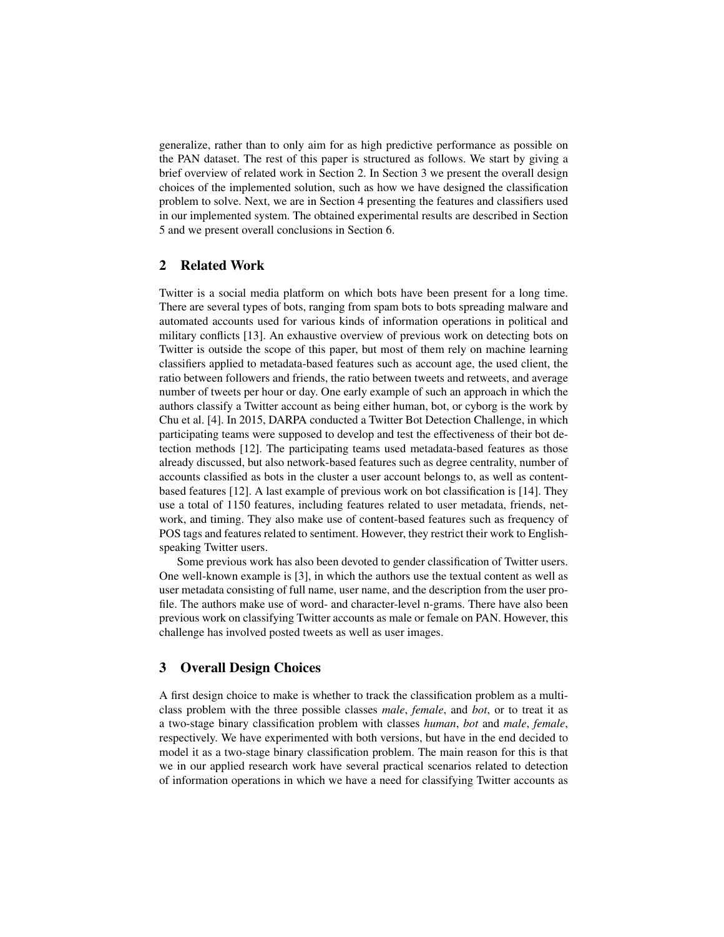generalize, rather than to only aim for as high predictive performance as possible on the PAN dataset. The rest of this paper is structured as follows. We start by giving a brief overview of related work in Section 2. In Section 3 we present the overall design choices of the implemented solution, such as how we have designed the classification problem to solve. Next, we are in Section 4 presenting the features and classifiers used in our implemented system. The obtained experimental results are described in Section 5 and we present overall conclusions in Section 6.

## 2 Related Work

Twitter is a social media platform on which bots have been present for a long time. There are several types of bots, ranging from spam bots to bots spreading malware and automated accounts used for various kinds of information operations in political and military conflicts [13]. An exhaustive overview of previous work on detecting bots on Twitter is outside the scope of this paper, but most of them rely on machine learning classifiers applied to metadata-based features such as account age, the used client, the ratio between followers and friends, the ratio between tweets and retweets, and average number of tweets per hour or day. One early example of such an approach in which the authors classify a Twitter account as being either human, bot, or cyborg is the work by Chu et al. [4]. In 2015, DARPA conducted a Twitter Bot Detection Challenge, in which participating teams were supposed to develop and test the effectiveness of their bot detection methods [12]. The participating teams used metadata-based features as those already discussed, but also network-based features such as degree centrality, number of accounts classified as bots in the cluster a user account belongs to, as well as contentbased features [12]. A last example of previous work on bot classification is [14]. They use a total of 1150 features, including features related to user metadata, friends, network, and timing. They also make use of content-based features such as frequency of POS tags and features related to sentiment. However, they restrict their work to Englishspeaking Twitter users.

Some previous work has also been devoted to gender classification of Twitter users. One well-known example is [3], in which the authors use the textual content as well as user metadata consisting of full name, user name, and the description from the user profile. The authors make use of word- and character-level n-grams. There have also been previous work on classifying Twitter accounts as male or female on PAN. However, this challenge has involved posted tweets as well as user images.

## 3 Overall Design Choices

A first design choice to make is whether to track the classification problem as a multiclass problem with the three possible classes *male*, *female*, and *bot*, or to treat it as a two-stage binary classification problem with classes *human*, *bot* and *male*, *female*, respectively. We have experimented with both versions, but have in the end decided to model it as a two-stage binary classification problem. The main reason for this is that we in our applied research work have several practical scenarios related to detection of information operations in which we have a need for classifying Twitter accounts as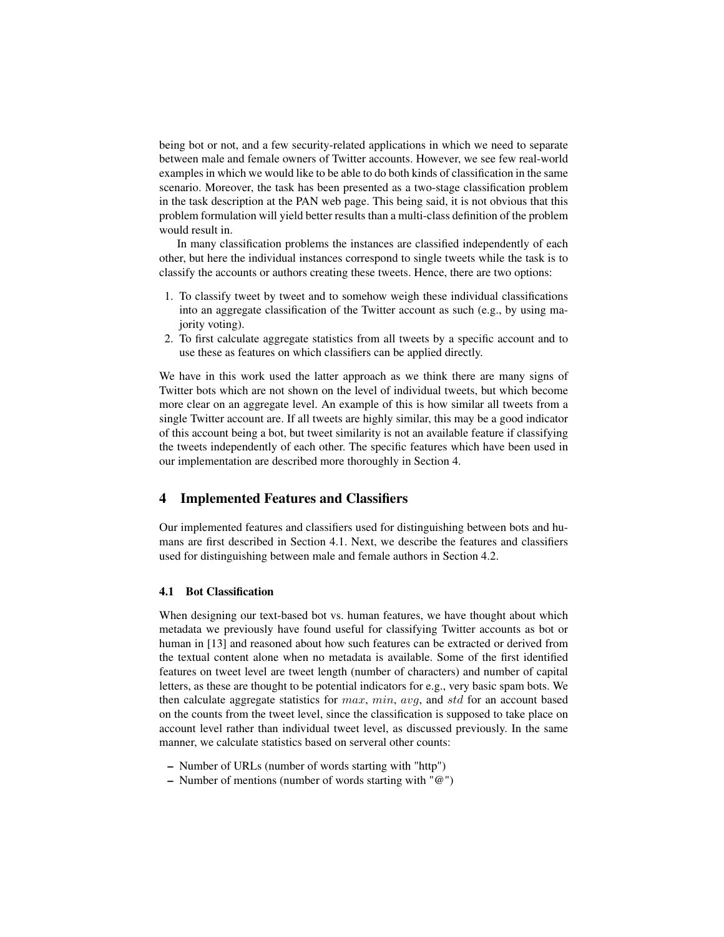being bot or not, and a few security-related applications in which we need to separate between male and female owners of Twitter accounts. However, we see few real-world examples in which we would like to be able to do both kinds of classification in the same scenario. Moreover, the task has been presented as a two-stage classification problem in the task description at the PAN web page. This being said, it is not obvious that this problem formulation will yield better results than a multi-class definition of the problem would result in.

In many classification problems the instances are classified independently of each other, but here the individual instances correspond to single tweets while the task is to classify the accounts or authors creating these tweets. Hence, there are two options:

- 1. To classify tweet by tweet and to somehow weigh these individual classifications into an aggregate classification of the Twitter account as such (e.g., by using majority voting).
- 2. To first calculate aggregate statistics from all tweets by a specific account and to use these as features on which classifiers can be applied directly.

We have in this work used the latter approach as we think there are many signs of Twitter bots which are not shown on the level of individual tweets, but which become more clear on an aggregate level. An example of this is how similar all tweets from a single Twitter account are. If all tweets are highly similar, this may be a good indicator of this account being a bot, but tweet similarity is not an available feature if classifying the tweets independently of each other. The specific features which have been used in our implementation are described more thoroughly in Section 4.

# 4 Implemented Features and Classifiers

Our implemented features and classifiers used for distinguishing between bots and humans are first described in Section 4.1. Next, we describe the features and classifiers used for distinguishing between male and female authors in Section 4.2.

# 4.1 Bot Classification

When designing our text-based bot vs. human features, we have thought about which metadata we previously have found useful for classifying Twitter accounts as bot or human in [13] and reasoned about how such features can be extracted or derived from the textual content alone when no metadata is available. Some of the first identified features on tweet level are tweet length (number of characters) and number of capital letters, as these are thought to be potential indicators for e.g., very basic spam bots. We then calculate aggregate statistics for  $max$ ,  $min$ ,  $avg$ , and std for an account based on the counts from the tweet level, since the classification is supposed to take place on account level rather than individual tweet level, as discussed previously. In the same manner, we calculate statistics based on serveral other counts:

- Number of URLs (number of words starting with "http")
- Number of mentions (number of words starting with "@")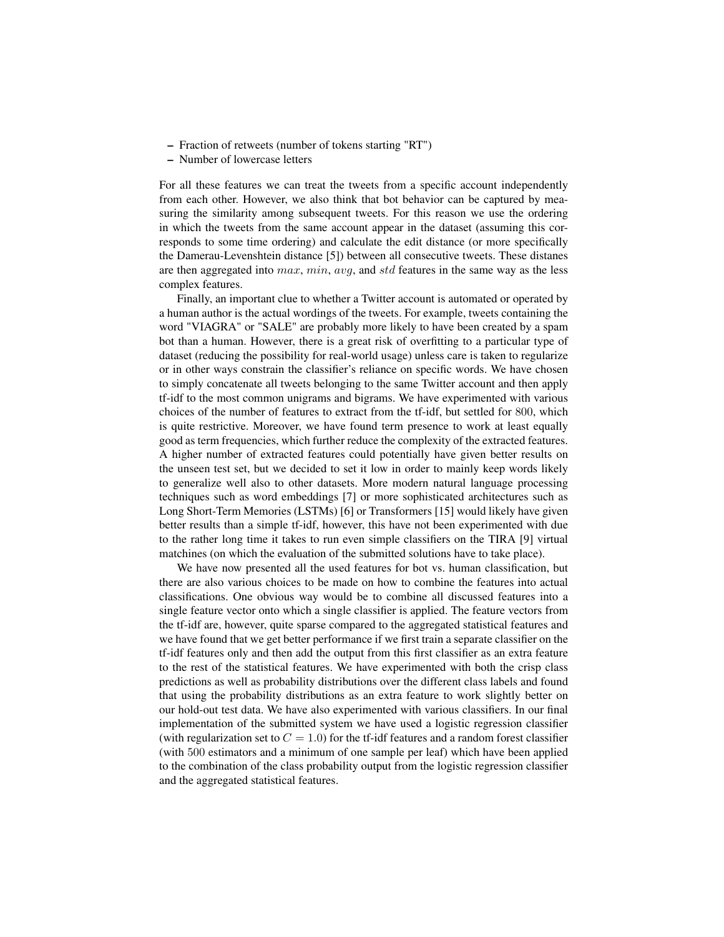- Fraction of retweets (number of tokens starting "RT")
- Number of lowercase letters

For all these features we can treat the tweets from a specific account independently from each other. However, we also think that bot behavior can be captured by measuring the similarity among subsequent tweets. For this reason we use the ordering in which the tweets from the same account appear in the dataset (assuming this corresponds to some time ordering) and calculate the edit distance (or more specifically the Damerau-Levenshtein distance [5]) between all consecutive tweets. These distanes are then aggregated into  $max, min, avg,$  and std features in the same way as the less complex features.

Finally, an important clue to whether a Twitter account is automated or operated by a human author is the actual wordings of the tweets. For example, tweets containing the word "VIAGRA" or "SALE" are probably more likely to have been created by a spam bot than a human. However, there is a great risk of overfitting to a particular type of dataset (reducing the possibility for real-world usage) unless care is taken to regularize or in other ways constrain the classifier's reliance on specific words. We have chosen to simply concatenate all tweets belonging to the same Twitter account and then apply tf-idf to the most common unigrams and bigrams. We have experimented with various choices of the number of features to extract from the tf-idf, but settled for 800, which is quite restrictive. Moreover, we have found term presence to work at least equally good as term frequencies, which further reduce the complexity of the extracted features. A higher number of extracted features could potentially have given better results on the unseen test set, but we decided to set it low in order to mainly keep words likely to generalize well also to other datasets. More modern natural language processing techniques such as word embeddings [7] or more sophisticated architectures such as Long Short-Term Memories (LSTMs) [6] or Transformers [15] would likely have given better results than a simple tf-idf, however, this have not been experimented with due to the rather long time it takes to run even simple classifiers on the TIRA [9] virtual matchines (on which the evaluation of the submitted solutions have to take place).

We have now presented all the used features for bot vs. human classification, but there are also various choices to be made on how to combine the features into actual classifications. One obvious way would be to combine all discussed features into a single feature vector onto which a single classifier is applied. The feature vectors from the tf-idf are, however, quite sparse compared to the aggregated statistical features and we have found that we get better performance if we first train a separate classifier on the tf-idf features only and then add the output from this first classifier as an extra feature to the rest of the statistical features. We have experimented with both the crisp class predictions as well as probability distributions over the different class labels and found that using the probability distributions as an extra feature to work slightly better on our hold-out test data. We have also experimented with various classifiers. In our final implementation of the submitted system we have used a logistic regression classifier (with regularization set to  $C = 1.0$ ) for the tf-idf features and a random forest classifier (with 500 estimators and a minimum of one sample per leaf) which have been applied to the combination of the class probability output from the logistic regression classifier and the aggregated statistical features.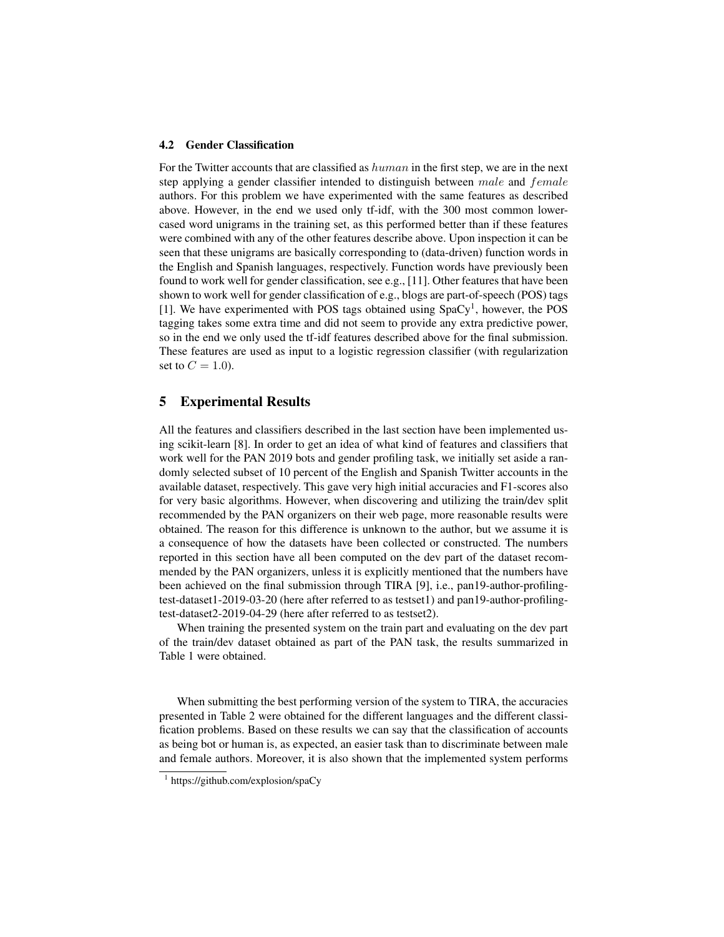#### 4.2 Gender Classification

For the Twitter accounts that are classified as human in the first step, we are in the next step applying a gender classifier intended to distinguish between male and female authors. For this problem we have experimented with the same features as described above. However, in the end we used only tf-idf, with the 300 most common lowercased word unigrams in the training set, as this performed better than if these features were combined with any of the other features describe above. Upon inspection it can be seen that these unigrams are basically corresponding to (data-driven) function words in the English and Spanish languages, respectively. Function words have previously been found to work well for gender classification, see e.g., [11]. Other features that have been shown to work well for gender classification of e.g., blogs are part-of-speech (POS) tags [1]. We have experimented with POS tags obtained using  $SpaCy<sup>1</sup>$ , however, the POS tagging takes some extra time and did not seem to provide any extra predictive power, so in the end we only used the tf-idf features described above for the final submission. These features are used as input to a logistic regression classifier (with regularization set to  $C = 1.0$ ).

### 5 Experimental Results

All the features and classifiers described in the last section have been implemented using scikit-learn [8]. In order to get an idea of what kind of features and classifiers that work well for the PAN 2019 bots and gender profiling task, we initially set aside a randomly selected subset of 10 percent of the English and Spanish Twitter accounts in the available dataset, respectively. This gave very high initial accuracies and F1-scores also for very basic algorithms. However, when discovering and utilizing the train/dev split recommended by the PAN organizers on their web page, more reasonable results were obtained. The reason for this difference is unknown to the author, but we assume it is a consequence of how the datasets have been collected or constructed. The numbers reported in this section have all been computed on the dev part of the dataset recommended by the PAN organizers, unless it is explicitly mentioned that the numbers have been achieved on the final submission through TIRA [9], i.e., pan19-author-profilingtest-dataset1-2019-03-20 (here after referred to as testset1) and pan19-author-profilingtest-dataset2-2019-04-29 (here after referred to as testset2).

When training the presented system on the train part and evaluating on the dev part of the train/dev dataset obtained as part of the PAN task, the results summarized in Table 1 were obtained.

When submitting the best performing version of the system to TIRA, the accuracies presented in Table 2 were obtained for the different languages and the different classification problems. Based on these results we can say that the classification of accounts as being bot or human is, as expected, an easier task than to discriminate between male and female authors. Moreover, it is also shown that the implemented system performs

<sup>1</sup> https://github.com/explosion/spaCy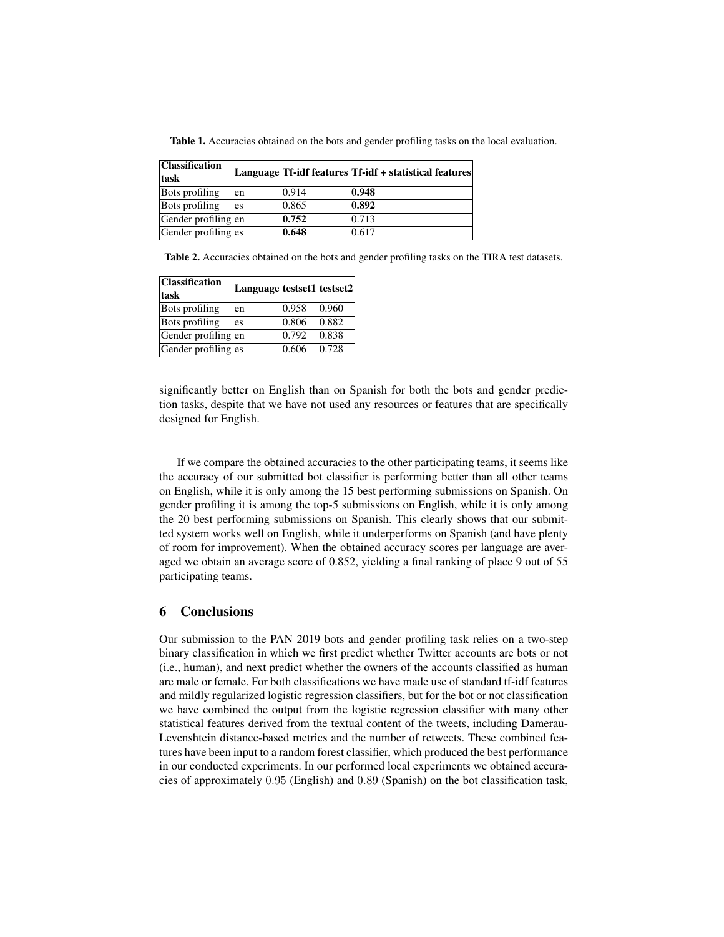| <b>Classification</b><br>task |    |       | Language Tf-idf features Tf-idf + statistical features |
|-------------------------------|----|-------|--------------------------------------------------------|
| <b>Bots</b> profiling         | en | 0.914 | 0.948                                                  |
| <b>Bots profiling</b>         | es | 0.865 | 0.892                                                  |
| Gender profiling en           |    | 0.752 | 0.713                                                  |
| Gender profiling es           |    | 0.648 | 0.617                                                  |

Table 1. Accuracies obtained on the bots and gender profiling tasks on the local evaluation.

Table 2. Accuracies obtained on the bots and gender profiling tasks on the TIRA test datasets.

| <b>Classification</b><br>task | Language testset1 testset2 |       |                 |
|-------------------------------|----------------------------|-------|-----------------|
| <b>Bots</b> profiling         | en                         | 0.958 | $ 0.960\rangle$ |
| <b>Bots</b> profiling         | es                         | 0.806 | $ 0.882\rangle$ |
| Gender profiling en           |                            | 0.792 | 0.838           |
| Gender profiling es           |                            | 0.606 | 0.728           |

significantly better on English than on Spanish for both the bots and gender prediction tasks, despite that we have not used any resources or features that are specifically designed for English.

If we compare the obtained accuracies to the other participating teams, it seems like the accuracy of our submitted bot classifier is performing better than all other teams on English, while it is only among the 15 best performing submissions on Spanish. On gender profiling it is among the top-5 submissions on English, while it is only among the 20 best performing submissions on Spanish. This clearly shows that our submitted system works well on English, while it underperforms on Spanish (and have plenty of room for improvement). When the obtained accuracy scores per language are averaged we obtain an average score of 0.852, yielding a final ranking of place 9 out of 55 participating teams.

# 6 Conclusions

Our submission to the PAN 2019 bots and gender profiling task relies on a two-step binary classification in which we first predict whether Twitter accounts are bots or not (i.e., human), and next predict whether the owners of the accounts classified as human are male or female. For both classifications we have made use of standard tf-idf features and mildly regularized logistic regression classifiers, but for the bot or not classification we have combined the output from the logistic regression classifier with many other statistical features derived from the textual content of the tweets, including Damerau-Levenshtein distance-based metrics and the number of retweets. These combined features have been input to a random forest classifier, which produced the best performance in our conducted experiments. In our performed local experiments we obtained accuracies of approximately 0.95 (English) and 0.89 (Spanish) on the bot classification task,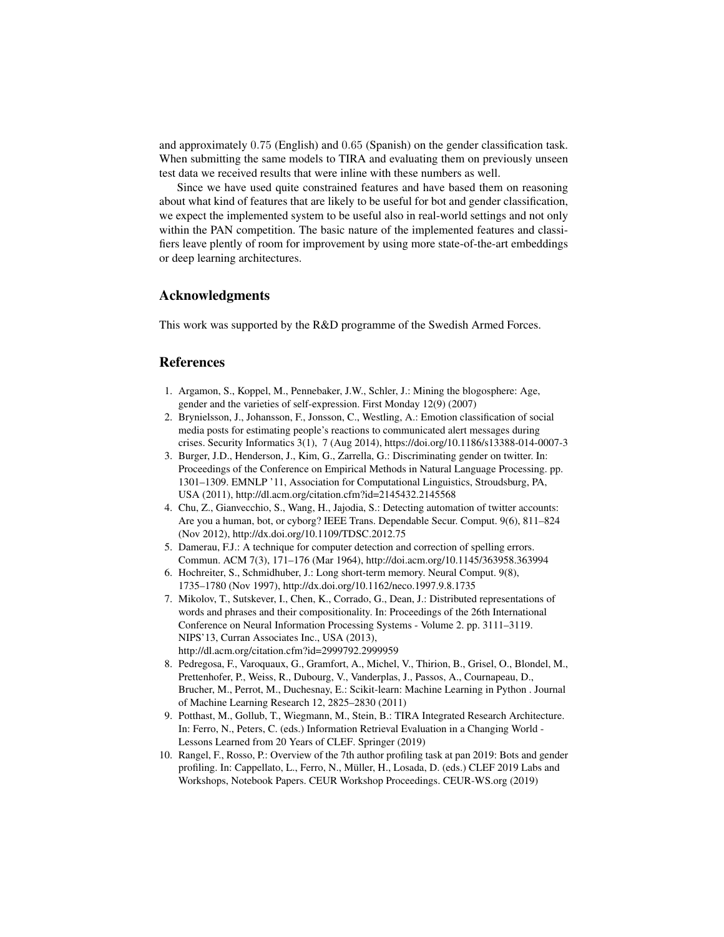and approximately 0.75 (English) and 0.65 (Spanish) on the gender classification task. When submitting the same models to TIRA and evaluating them on previously unseen test data we received results that were inline with these numbers as well.

Since we have used quite constrained features and have based them on reasoning about what kind of features that are likely to be useful for bot and gender classification, we expect the implemented system to be useful also in real-world settings and not only within the PAN competition. The basic nature of the implemented features and classifiers leave plently of room for improvement by using more state-of-the-art embeddings or deep learning architectures.

# Acknowledgments

This work was supported by the R&D programme of the Swedish Armed Forces.

## References

- 1. Argamon, S., Koppel, M., Pennebaker, J.W., Schler, J.: Mining the blogosphere: Age, gender and the varieties of self-expression. First Monday 12(9) (2007)
- 2. Brynielsson, J., Johansson, F., Jonsson, C., Westling, A.: Emotion classification of social media posts for estimating people's reactions to communicated alert messages during crises. Security Informatics 3(1), 7 (Aug 2014), https://doi.org/10.1186/s13388-014-0007-3
- 3. Burger, J.D., Henderson, J., Kim, G., Zarrella, G.: Discriminating gender on twitter. In: Proceedings of the Conference on Empirical Methods in Natural Language Processing. pp. 1301–1309. EMNLP '11, Association for Computational Linguistics, Stroudsburg, PA, USA (2011), http://dl.acm.org/citation.cfm?id=2145432.2145568
- 4. Chu, Z., Gianvecchio, S., Wang, H., Jajodia, S.: Detecting automation of twitter accounts: Are you a human, bot, or cyborg? IEEE Trans. Dependable Secur. Comput. 9(6), 811–824 (Nov 2012), http://dx.doi.org/10.1109/TDSC.2012.75
- 5. Damerau, F.J.: A technique for computer detection and correction of spelling errors. Commun. ACM 7(3), 171–176 (Mar 1964), http://doi.acm.org/10.1145/363958.363994
- 6. Hochreiter, S., Schmidhuber, J.: Long short-term memory. Neural Comput. 9(8), 1735–1780 (Nov 1997), http://dx.doi.org/10.1162/neco.1997.9.8.1735
- 7. Mikolov, T., Sutskever, I., Chen, K., Corrado, G., Dean, J.: Distributed representations of words and phrases and their compositionality. In: Proceedings of the 26th International Conference on Neural Information Processing Systems - Volume 2. pp. 3111–3119. NIPS'13, Curran Associates Inc., USA (2013), http://dl.acm.org/citation.cfm?id=2999792.2999959
- 8. Pedregosa, F., Varoquaux, G., Gramfort, A., Michel, V., Thirion, B., Grisel, O., Blondel, M., Prettenhofer, P., Weiss, R., Dubourg, V., Vanderplas, J., Passos, A., Cournapeau, D., Brucher, M., Perrot, M., Duchesnay, E.: Scikit-learn: Machine Learning in Python . Journal of Machine Learning Research 12, 2825–2830 (2011)
- 9. Potthast, M., Gollub, T., Wiegmann, M., Stein, B.: TIRA Integrated Research Architecture. In: Ferro, N., Peters, C. (eds.) Information Retrieval Evaluation in a Changing World - Lessons Learned from 20 Years of CLEF. Springer (2019)
- 10. Rangel, F., Rosso, P.: Overview of the 7th author profiling task at pan 2019: Bots and gender profiling. In: Cappellato, L., Ferro, N., Müller, H., Losada, D. (eds.) CLEF 2019 Labs and Workshops, Notebook Papers. CEUR Workshop Proceedings. CEUR-WS.org (2019)